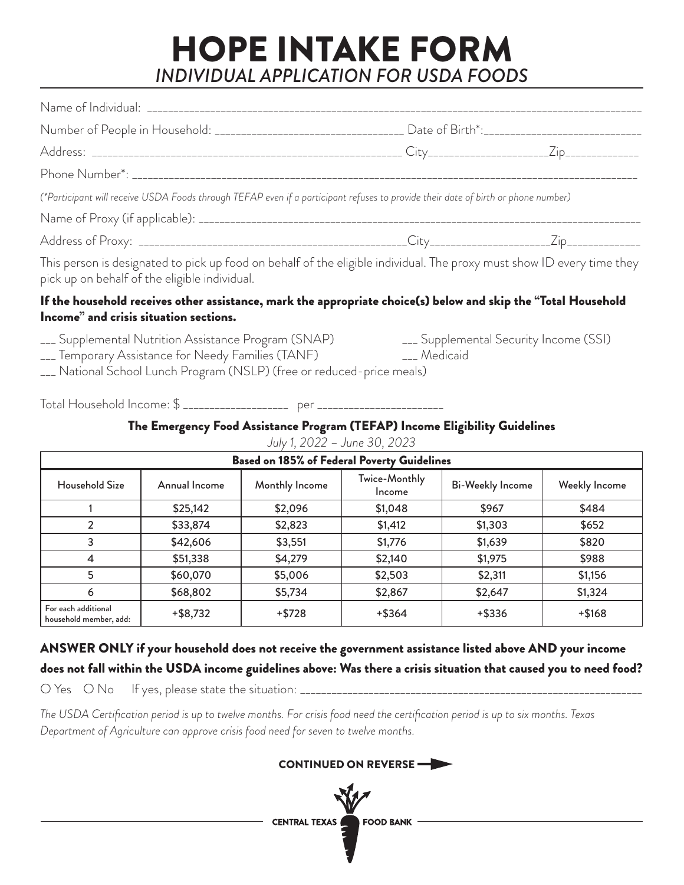## HOPE INTAKE FORM *INDIVIDUAL APPLICATION FOR USDA FOODS*

| Number of People in Household: _________________________________ Date of Birth*:______________________________                                                          |  |
|-------------------------------------------------------------------------------------------------------------------------------------------------------------------------|--|
|                                                                                                                                                                         |  |
|                                                                                                                                                                         |  |
| (*Participant will receive USDA Foods through TEFAP even if a participant refuses to provide their date of birth or phone number)                                       |  |
|                                                                                                                                                                         |  |
|                                                                                                                                                                         |  |
| This person is designated to pick up food on behalf of the eligible individual. The proxy must show ID every time they<br>pick up on behalf of the eligible individual. |  |
| If the household receives other assistance, mark the appropriate choice(s) below and skip the "Total Household<br>Income" and crisis situation sections.                |  |
| ___ Supplemental Nutrition Assistance Program (SNAP) ____ Supplemental Security Income (SSI)                                                                            |  |

- \_\_\_ Temporary Assistance for Needy Families (TANF) \_\_\_ Medicaid
- \_\_\_ National School Lunch Program (NSLP) (free or reduced-price meals)

Total Household Income: \$ \_\_\_\_\_\_\_\_\_\_\_\_\_\_\_\_\_\_\_\_ per \_\_\_\_\_\_\_\_\_\_\_\_\_\_\_\_\_\_\_\_\_\_\_\_

#### The Emergency Food Assistance Program (TEFAP) Income Eligibility Guidelines

| <b>Based on 185% of Federal Poverty Guidelines</b> |               |                |                         |                         |               |
|----------------------------------------------------|---------------|----------------|-------------------------|-------------------------|---------------|
| Household Size                                     | Annual Income | Monthly Income | Twice-Monthly<br>Income | <b>Bi-Weekly Income</b> | Weekly Income |
|                                                    | \$25,142      | \$2,096        | \$1,048                 | \$967                   | \$484         |
| 2                                                  | \$33,874      | \$2,823        | \$1,412                 | \$1,303                 | \$652         |
| 3                                                  | \$42,606      | \$3,551        | \$1,776                 | \$1,639                 | \$820         |
| 4                                                  | \$51,338      | \$4,279        | \$2,140                 | \$1,975                 | \$988         |
| 5                                                  | \$60,070      | \$5,006        | \$2,503                 | \$2,311                 | \$1,156       |
| 6                                                  | \$68,802      | \$5,734        | \$2,867                 | \$2,647                 | \$1,324       |
| For each additional<br>household member, add:      | $+$ \$8,732   | $+$ \$728      | $+$ \$364               | $+$ \$336               | $+ $168$      |

*July 1, 2022 – June 30, 2023*

### ANSWER ONLY if your household does not receive the government assistance listed above AND your income does not fall within the USDA income guidelines above: Was there a crisis situation that caused you to need food?

O Yes O No If yes, please state the situation: \_\_\_\_\_\_\_\_\_\_\_\_\_\_\_\_\_\_\_\_\_\_\_\_\_\_\_\_\_\_\_\_\_\_\_\_\_\_\_\_\_\_\_\_\_\_\_\_\_\_\_\_\_\_\_\_\_\_\_\_\_\_\_\_\_

*The USDA Certification period is up to twelve months. For crisis food need the certification period is up to six months. Texas Department of Agriculture can approve crisis food need for seven to twelve months.* 

CENTRAL TEXAS

### CONTINUED ON REVERSE

**FOOD BANK**